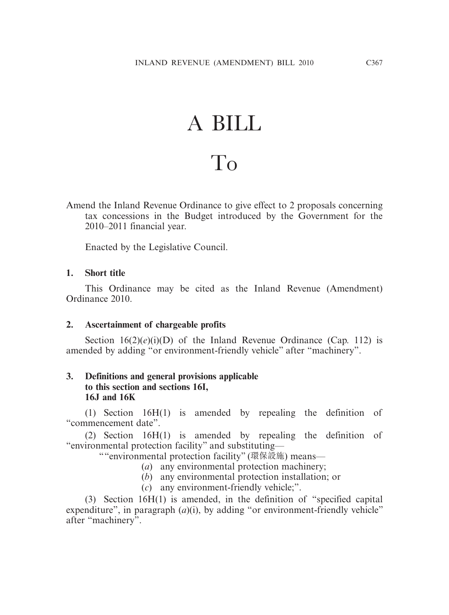# A BILL

# To

Amend the Inland Revenue Ordinance to give effect to 2 proposals concerning tax concessions in the Budget introduced by the Government for the 2010–2011 financial year.

Enacted by the Legislative Council.

## **1. Short title**

 This Ordinance may be cited as the Inland Revenue (Amendment) Ordinance 2010.

## **2. Ascertainment of chargeable profits**

Section 16(2)(*e*)(i)(D) of the Inland Revenue Ordinance (Cap. 112) is amended by adding "or environment-friendly vehicle" after "machinery".

# **3. Definitions and general provisions applicable to this section and sections 16I, 16J and 16K**

 (1) Section 16H(1) is amended by repealing the definition of "commencement date".

 (2) Section 16H(1) is amended by repealing the definition of "environmental protection facility" and substituting—

""environmental protection facility" (環保設施) means—

- (*a*) any environmental protection machinery;
- (*b*) any environmental protection installation; or
- (*c*) any environment-friendly vehicle;".

 (3) Section 16H(1) is amended, in the definition of "specified capital expenditure", in paragraph (*a*)(*i*), by adding "or environment-friendly vehicle" after "machinery".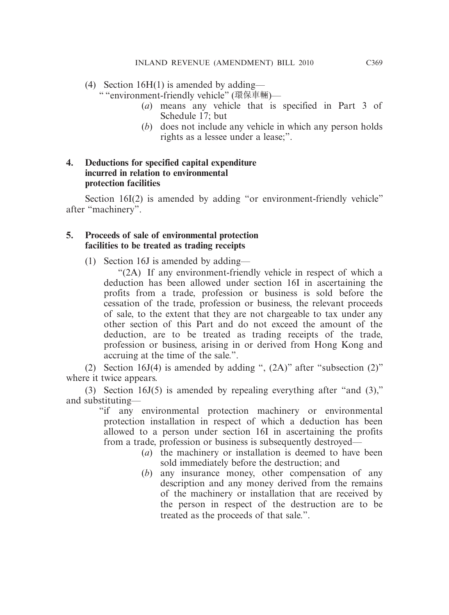(4) Section 16H(1) is amended by adding—

" "environment-friendly vehicle" (環保車輛)—

- (*a*) means any vehicle that is specified in Part 3 of Schedule 17; but
- (*b*) does not include any vehicle in which any person holds rights as a lessee under a lease;".

# **4. Deductions for specified capital expenditure incurred in relation to environmental protection facilities**

Section 16I(2) is amended by adding "or environment-friendly vehicle" after "machinery".

#### **5. Proceeds of sale of environmental protection facilities to be treated as trading receipts**

(1) Section 16J is amended by adding—

 "(2A) If any environment-friendly vehicle in respect of which a deduction has been allowed under section 16I in ascertaining the profits from a trade, profession or business is sold before the cessation of the trade, profession or business, the relevant proceeds of sale, to the extent that they are not chargeable to tax under any other section of this Part and do not exceed the amount of the deduction, are to be treated as trading receipts of the trade, profession or business, arising in or derived from Hong Kong and accruing at the time of the sale.".

 (2) Section 16J(4) is amended by adding ", (2A)" after "subsection (2)" where it twice appears.

 (3) Section 16J(5) is amended by repealing everything after "and (3)," and substituting—

"if any environmental protection machinery or environmental protection installation in respect of which a deduction has been allowed to a person under section 16I in ascertaining the profits from a trade, profession or business is subsequently destroyed—

- (*a*) the machinery or installation is deemed to have been sold immediately before the destruction; and
- (*b*) any insurance money, other compensation of any description and any money derived from the remains of the machinery or installation that are received by the person in respect of the destruction are to be treated as the proceeds of that sale.".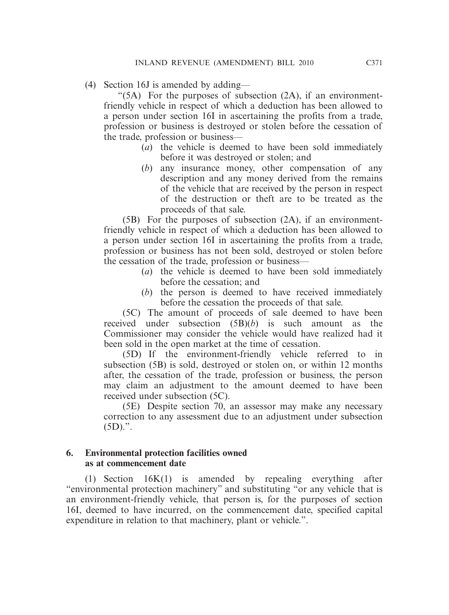(4) Section 16J is amended by adding—

 "(5A) For the purposes of subsection (2A), if an environmentfriendly vehicle in respect of which a deduction has been allowed to a person under section 16I in ascertaining the profits from a trade, profession or business is destroyed or stolen before the cessation of the trade, profession or business—

- (*a*) the vehicle is deemed to have been sold immediately before it was destroyed or stolen; and
- (*b*) any insurance money, other compensation of any description and any money derived from the remains of the vehicle that are received by the person in respect of the destruction or theft are to be treated as the proceeds of that sale.

 (5B) For the purposes of subsection (2A), if an environmentfriendly vehicle in respect of which a deduction has been allowed to a person under section 16I in ascertaining the profits from a trade, profession or business has not been sold, destroyed or stolen before the cessation of the trade, profession or business—

- (*a*) the vehicle is deemed to have been sold immediately before the cessation; and
- (*b*) the person is deemed to have received immediately before the cessation the proceeds of that sale.

 (5C) The amount of proceeds of sale deemed to have been received under subsection (5B)(*b*) is such amount as the Commissioner may consider the vehicle would have realized had it been sold in the open market at the time of cessation.

 (5D) If the environment-friendly vehicle referred to in subsection (5B) is sold, destroyed or stolen on, or within 12 months after, the cessation of the trade, profession or business, the person may claim an adjustment to the amount deemed to have been received under subsection (5C).

 (5E) Despite section 70, an assessor may make any necessary correction to any assessment due to an adjustment under subsection  $(5D)$ .".

#### **6. Environmental protection facilities owned as at commencement date**

 (1) Section 16K(1) is amended by repealing everything after "environmental protection machinery" and substituting "or any vehicle that is an environment-friendly vehicle, that person is, for the purposes of section 16I, deemed to have incurred, on the commencement date, specified capital expenditure in relation to that machinery, plant or vehicle.".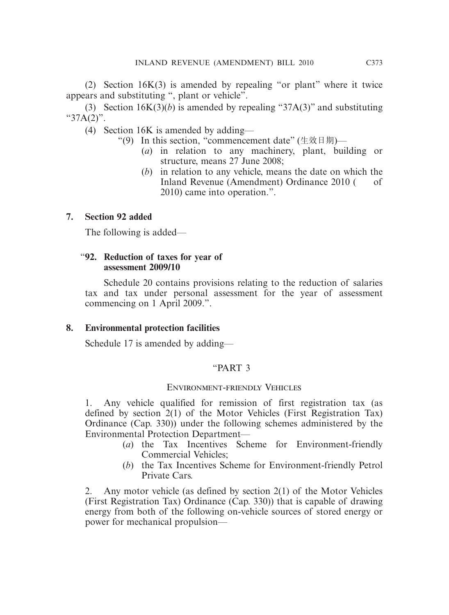(2) Section 16K(3) is amended by repealing "or plant" where it twice appears and substituting ", plant or vehicle".

 (3) Section 16K(3)(*b*) is amended by repealing "37A(3)" and substituting " $37A(2)$ ".

(4) Section 16K is amended by adding—

- "(9) In this section, "commencement date" (生效日期)—
	- (*a*) in relation to any machinery, plant, building or structure, means 27 June 2008;
	- (*b*) in relation to any vehicle, means the date on which the Inland Revenue (Amendment) Ordinance 2010 ( of 2010) came into operation.".

# **7. Section 92 added**

The following is added—

# "**92. Reduction of taxes for year of assessment 2009/10**

 Schedule 20 contains provisions relating to the reduction of salaries tax and tax under personal assessment for the year of assessment commencing on 1 April 2009.".

# **8. Environmental protection facilities**

Schedule 17 is amended by adding—

# "PART 3

# Environment-friendly Vehicles

1. Any vehicle qualified for remission of first registration tax (as defined by section 2(1) of the Motor Vehicles (First Registration Tax) Ordinance (Cap. 330)) under the following schemes administered by the Environmental Protection Department—

- (*a*) the Tax Incentives Scheme for Environment-friendly Commercial Vehicles;
- (*b*) the Tax Incentives Scheme for Environment-friendly Petrol Private Cars.

2. Any motor vehicle (as defined by section 2(1) of the Motor Vehicles (First Registration Tax) Ordinance (Cap. 330)) that is capable of drawing energy from both of the following on-vehicle sources of stored energy or power for mechanical propulsion—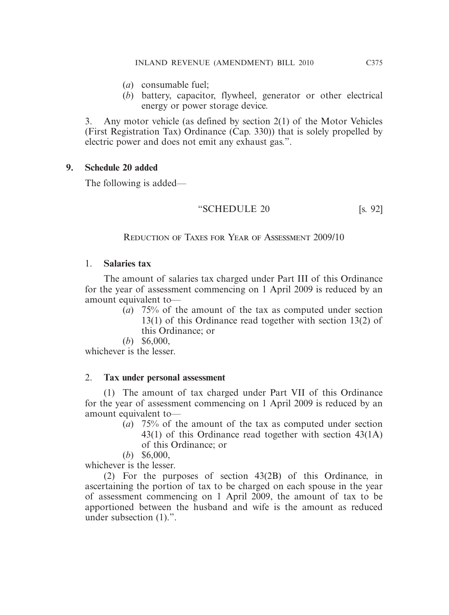- (*a*) consumable fuel;
- (*b*) battery, capacitor, flywheel, generator or other electrical energy or power storage device.

3. Any motor vehicle (as defined by section 2(1) of the Motor Vehicles (First Registration Tax) Ordinance (Cap. 330)) that is solely propelled by electric power and does not emit any exhaust gas.".

## **9. Schedule 20 added**

The following is added—

$$
\text{``SCHEDULE 20} \quad \text{[s. 92]}
$$

Reduction of Taxes for Year of Assessment 2009/10

## 1. **Salaries tax**

 The amount of salaries tax charged under Part III of this Ordinance for the year of assessment commencing on 1 April 2009 is reduced by an amount equivalent to—

- (*a*) 75% of the amount of the tax as computed under section 13(1) of this Ordinance read together with section 13(2) of this Ordinance; or
- (*b*) \$6,000,

whichever is the lesser.

## 2. **Tax under personal assessment**

 (1) The amount of tax charged under Part VII of this Ordinance for the year of assessment commencing on 1 April 2009 is reduced by an amount equivalent to—

- (*a*) 75% of the amount of the tax as computed under section 43(1) of this Ordinance read together with section 43(1A) of this Ordinance; or
- (*b*) \$6,000,

whichever is the lesser.

 (2) For the purposes of section 43(2B) of this Ordinance, in ascertaining the portion of tax to be charged on each spouse in the year of assessment commencing on 1 April 2009, the amount of tax to be apportioned between the husband and wife is the amount as reduced under subsection (1).".